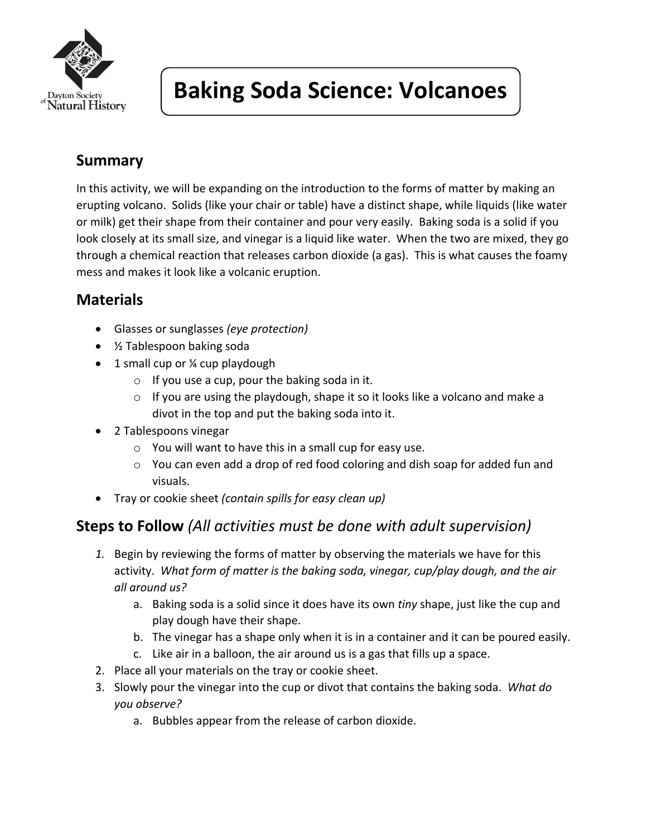

# **Baking Soda Science: Volcanoes**

### **Summary**

In this activity, we will be expanding on the introduction to the forms of matter by making an erupting volcano. Solids (like your chair or table) have a distinct shape, while liquids (like water or milk) get their shape from their container and pour very easily. Baking soda is a solid if you look closely at its small size, and vinegar is a liquid like water. When the two are mixed, they go through a chemical reaction that releases carbon dioxide (a gas). This is what causes the foamy mess and makes it look like a volcanic eruption.

### **Materials**

- Glasses or sunglasses *(eye protection)*
- ½ Tablespoon baking soda
- 1 small cup or ¼ cup playdough
	- $\circ$  If you use a cup, pour the baking soda in it.
	- $\circ$  If you are using the playdough, shape it so it looks like a volcano and make a divot in the top and put the baking soda into it.
- 2 Tablespoons vinegar
	- o You will want to have this in a small cup for easy use.
	- o You can even add a drop of red food coloring and dish soap for added fun and visuals.
- Tray or cookie sheet *(contain spills for easy clean up)*

#### **Steps to Follow** *(All activities must be done with adult supervision)*

- *1.* Begin by reviewing the forms of matter by observing the materials we have for this activity. *What form of matter is the baking soda, vinegar, cup/play dough, and the air all around us?*
	- a. Baking soda is a solid since it does have its own *tiny* shape, just like the cup and play dough have their shape.
	- b. The vinegar has a shape only when it is in a container and it can be poured easily.
	- c. Like air in a balloon, the air around us is a gas that fills up a space.
- 2. Place all your materials on the tray or cookie sheet.
- 3. Slowly pour the vinegar into the cup or divot that contains the baking soda. *What do you observe?*
	- a. Bubbles appear from the release of carbon dioxide.